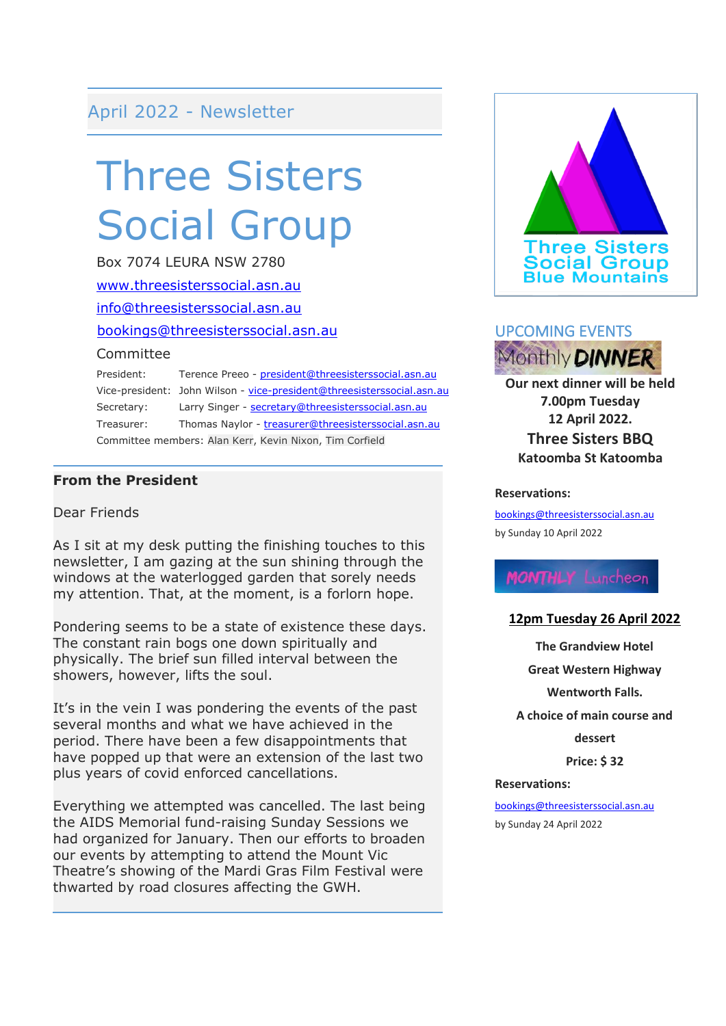# April 2022 - Newsletter

# Three Sisters Social Group

Box 7074 LEURA NSW 2780 [www.threesisterssocial.asn.au](http://www.threesisterssocial.asn.au/) [info@threesisterssocial.asn.au](mailto:info@threesisterssocial.asn.au) [bookings@threesisterssocial.asn.au](mailto:bookings@threesisterssocial.asn.au) Committee President: Terence Preeo - [president@threesisterssocial.asn.au](mailto:president@threesisterssocial.asn.au) Vice-president: John Wilson - [vice-president@threesisterssocial.asn.au](mailto:vice-president@threesisterssocial.asn.au) Secretary: Larry Singer - [secretary@threesisterssocial.asn.au](mailto:secretary@threesisterssocial.asn.au)

Treasurer: Thomas Naylor - [treasurer@threesisterssocial.asn.au](mailto:treasurer@threesisterssocial.asn.au) Committee members: Alan Kerr, Kevin Nixon, Tim Corfield

#### **From the President**

#### Dear Friends

As I sit at my desk putting the finishing touches to this newsletter, I am gazing at the sun shining through the windows at the waterlogged garden that sorely needs my attention. That, at the moment, is a forlorn hope.

Pondering seems to be a state of existence these days. The constant rain bogs one down spiritually and physically. The brief sun filled interval between the showers, however, lifts the soul.

It's in the vein I was pondering the events of the past several months and what we have achieved in the period. There have been a few disappointments that have popped up that were an extension of the last two plus years of covid enforced cancellations.

Everything we attempted was cancelled. The last being the AIDS Memorial fund-raising Sunday Sessions we had organized for January. Then our efforts to broaden our events by attempting to attend the Mount Vic Theatre's showing of the Mardi Gras Film Festival were thwarted by road closures affecting the GWH.





**Our next dinner will be held 7.00pm Tuesday 12 April 2022. Three Sisters BBQ Katoomba St Katoomba**

#### **Reservations:**

[bookings@threesisterssocial.asn.au](mailto:bookings@threesisterssocial.asn.au) by Sunday 10 April 2022

# **MONTHLY** Luncheon

#### **12pm Tuesday 26 April 2022**

**The Grandview Hotel Great Western Highway Wentworth Falls. A choice of main course and dessert**

**Price: \$ 32**

#### **Reservations:**

[bookings@threesisterssocial.asn.au](mailto:bookings@threesisterssocial.asn.au) by Sunday 24 April 2022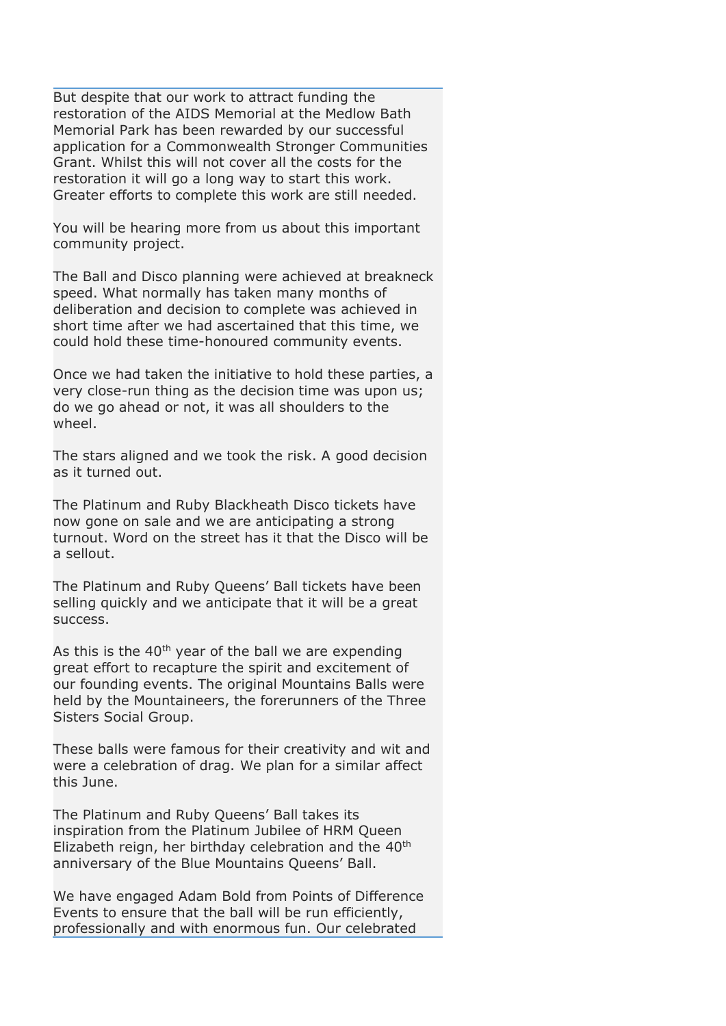But despite that our work to attract funding the restoration of the AIDS Memorial at the Medlow Bath Memorial Park has been rewarded by our successful application for a Commonwealth Stronger Communities Grant. Whilst this will not cover all the costs for the restoration it will go a long way to start this work. Greater efforts to complete this work are still needed.

You will be hearing more from us about this important community project.

The Ball and Disco planning were achieved at breakneck speed. What normally has taken many months of deliberation and decision to complete was achieved in short time after we had ascertained that this time, we could hold these time-honoured community events.

Once we had taken the initiative to hold these parties, a very close-run thing as the decision time was upon us; do we go ahead or not, it was all shoulders to the wheel.

The stars aligned and we took the risk. A good decision as it turned out.

The Platinum and Ruby Blackheath Disco tickets have now gone on sale and we are anticipating a strong turnout. Word on the street has it that the Disco will be a sellout.

The Platinum and Ruby Queens' Ball tickets have been selling quickly and we anticipate that it will be a great success.

As this is the  $40<sup>th</sup>$  year of the ball we are expending great effort to recapture the spirit and excitement of our founding events. The original Mountains Balls were held by the Mountaineers, the forerunners of the Three Sisters Social Group.

These balls were famous for their creativity and wit and were a celebration of drag. We plan for a similar affect this June.

The Platinum and Ruby Queens' Ball takes its inspiration from the Platinum Jubilee of HRM Queen Elizabeth reign, her birthday celebration and the 40<sup>th</sup> anniversary of the Blue Mountains Queens' Ball.

We have engaged Adam Bold from Points of Difference Events to ensure that the ball will be run efficiently, professionally and with enormous fun. Our celebrated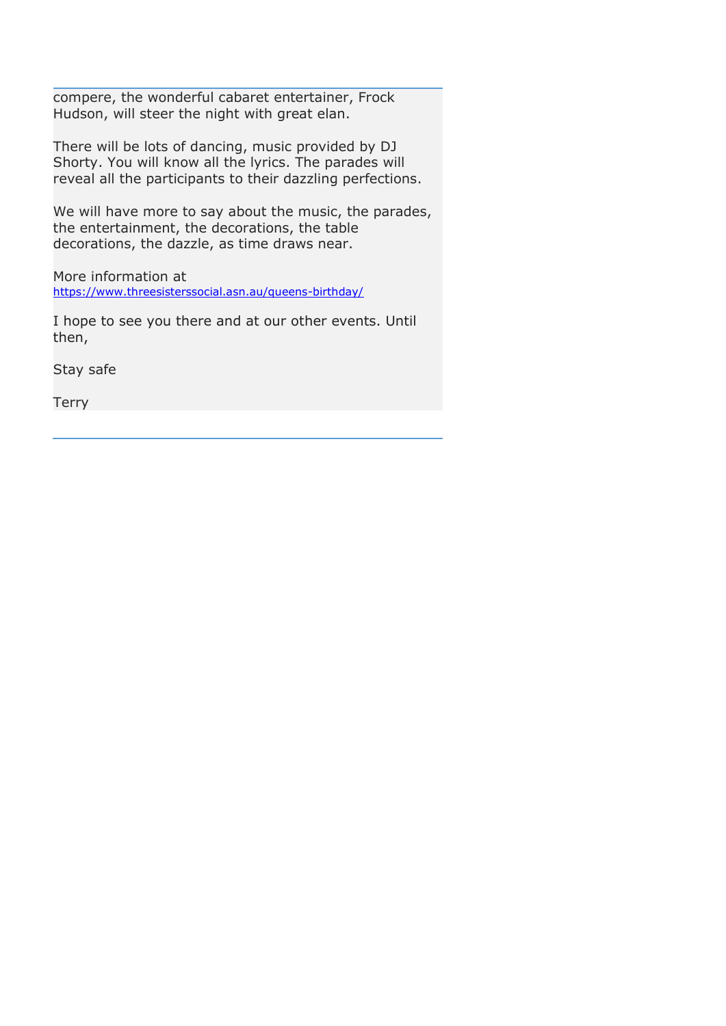compere, the wonderful cabaret entertainer, Frock Hudson, will steer the night with great elan.

There will be lots of dancing, music provided by DJ Shorty. You will know all the lyrics. The parades will reveal all the participants to their dazzling perfections.

We will have more to say about the music, the parades, the entertainment, the decorations, the table decorations, the dazzle, as time draws near.

More information at <https://www.threesisterssocial.asn.au/queens-birthday/>

I hope to see you there and at our other events. Until then,

Stay safe

Terry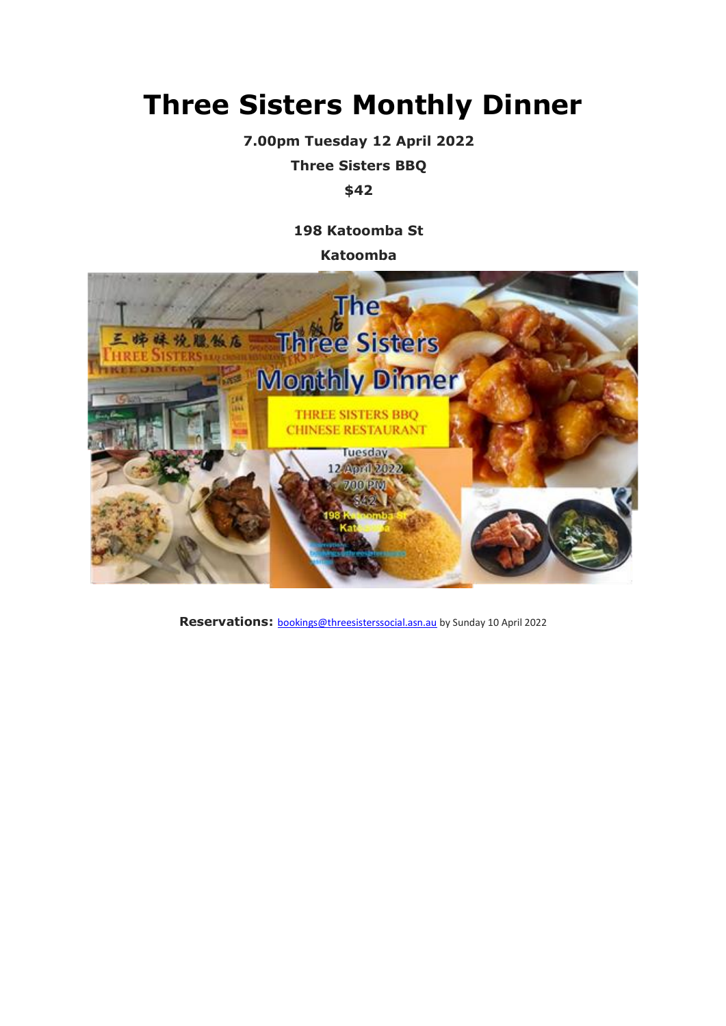# **Three Sisters Monthly Dinner**

**7.00pm Tuesday 12 April 2022**

**Three Sisters BBQ**

## **\$42**

**198 Katoomba St**

**Katoomba**



**Reservations:** [bookings@threesisterssocial.asn.au](mailto:bookings@threesisterssocial.asn.au) by Sunday 10 April 2022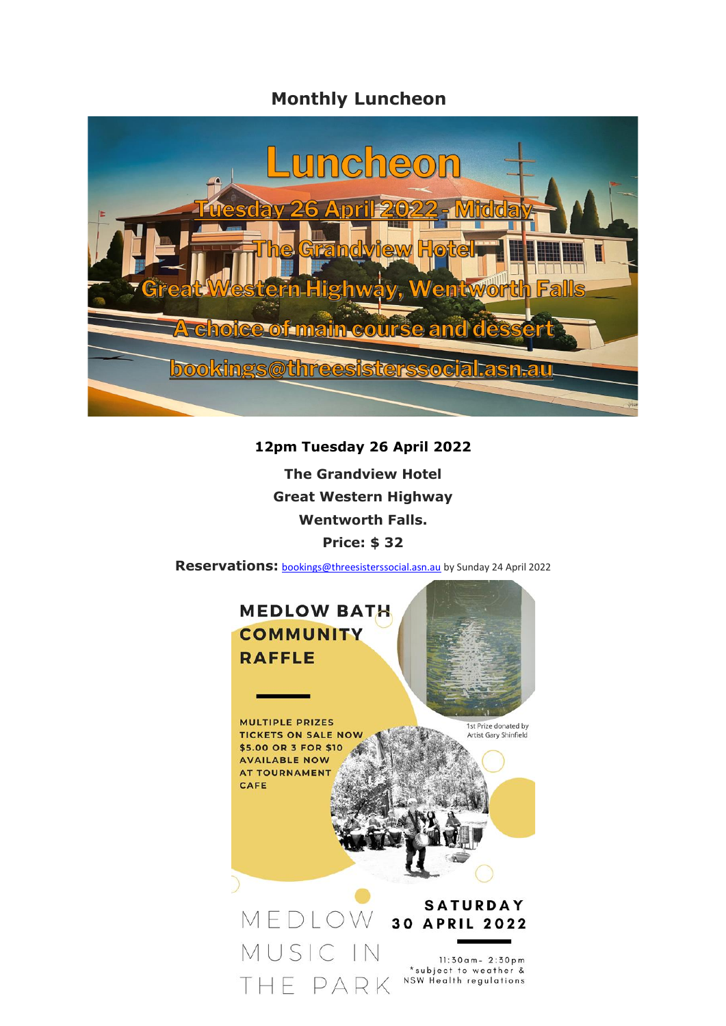# **Monthly Luncheon**



### **12pm Tuesday 26 April 2022**

**The Grandview Hotel Great Western Highway Wentworth Falls. Price: \$ 32**

**Reservations:** [bookings@threesisterssocial.asn.au](mailto:bookings@threesisterssocial.asn.au) by Sunday 24 April 2022

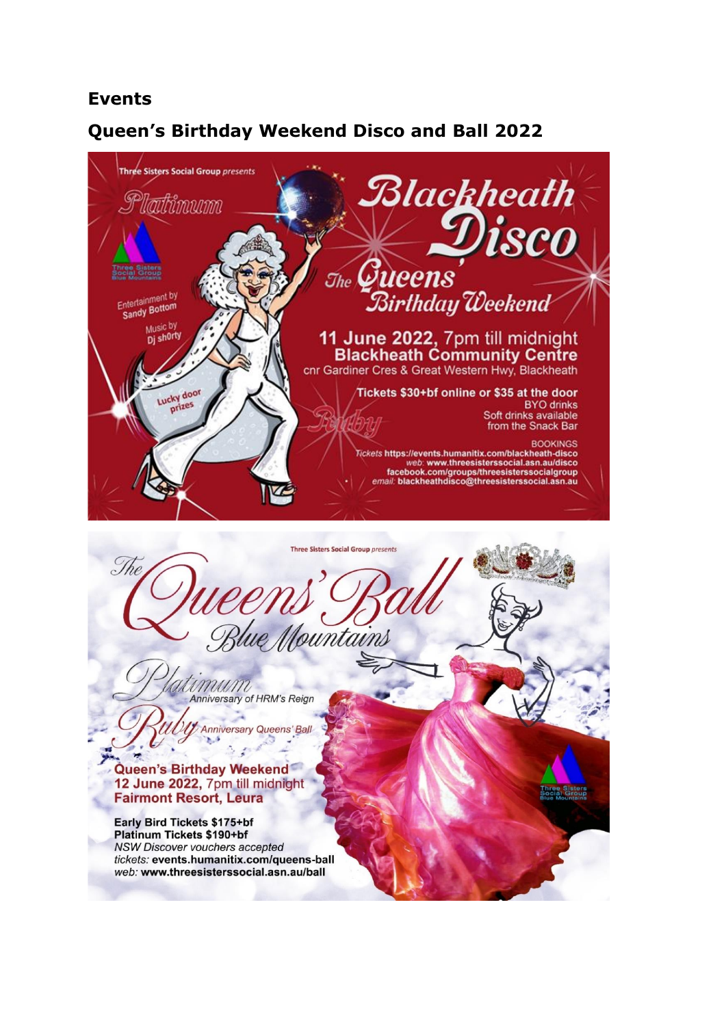# **Events**

# **Queen's Birthday Weekend Disco and Ball 2022**



Queen's Birthday Weekend 12 June 2022, 7pm till midnight **Fairmont Resort, Leura** 

Early Bird Tickets \$175+bf **Platinum Tickets \$190+bf** NSW Discover vouchers accepted tickets: events.humanitix.com/queens-ball web: www.threesisterssocial.asn.au/ball